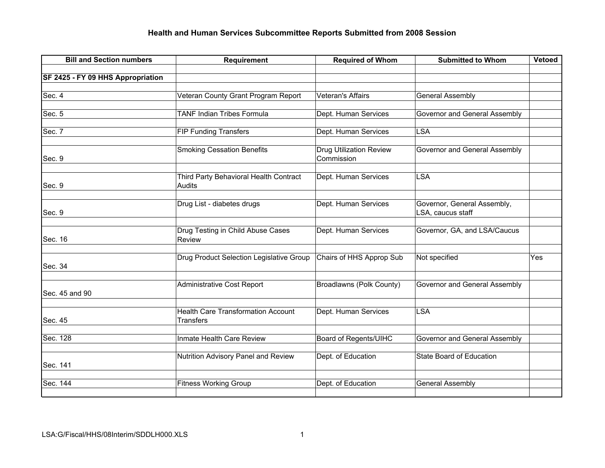## **Health and Human Services Subcommittee Reports Submitted from 2008 Session**

| <b>Bill and Section numbers</b>   | <b>Requirement</b>                                            | <b>Required of Whom</b>                      | <b>Submitted to Whom</b>                         | Vetoed |
|-----------------------------------|---------------------------------------------------------------|----------------------------------------------|--------------------------------------------------|--------|
|                                   |                                                               |                                              |                                                  |        |
| SF 2425 - FY 09 HHS Appropriation |                                                               |                                              |                                                  |        |
| Sec. 4                            | Veteran County Grant Program Report                           | <b>Veteran's Affairs</b>                     | <b>General Assembly</b>                          |        |
|                                   |                                                               |                                              |                                                  |        |
| Sec. 5                            | <b>TANF Indian Tribes Formula</b>                             | Dept. Human Services                         | Governor and General Assembly                    |        |
| Sec. 7                            | <b>FIP Funding Transfers</b>                                  | Dept. Human Services                         | <b>LSA</b>                                       |        |
| Sec. 9                            | <b>Smoking Cessation Benefits</b>                             | <b>Drug Utilization Review</b><br>Commission | Governor and General Assembly                    |        |
| Sec. 9                            | Third Party Behavioral Health Contract<br>Audits              | Dept. Human Services                         | <b>LSA</b>                                       |        |
| Sec. 9                            | Drug List - diabetes drugs                                    | Dept. Human Services                         | Governor, General Assembly,<br>LSA, caucus staff |        |
| Sec. 16                           | Drug Testing in Child Abuse Cases<br>Review                   | Dept. Human Services                         | Governor, GA, and LSA/Caucus                     |        |
| Sec. 34                           | Drug Product Selection Legislative Group                      | Chairs of HHS Approp Sub                     | Not specified                                    | Yes    |
| Sec. 45 and 90                    | <b>Administrative Cost Report</b>                             | Broadlawns (Polk County)                     | Governor and General Assembly                    |        |
| Sec. 45                           | <b>Health Care Transformation Account</b><br><b>Transfers</b> | Dept. Human Services                         | <b>LSA</b>                                       |        |
| Sec. 128                          | Inmate Health Care Review                                     | Board of Regents/UIHC                        | Governor and General Assembly                    |        |
| Sec. 141                          | Nutrition Advisory Panel and Review                           | Dept. of Education                           | State Board of Education                         |        |
| Sec. 144                          | <b>Fitness Working Group</b>                                  | Dept. of Education                           | <b>General Assembly</b>                          |        |